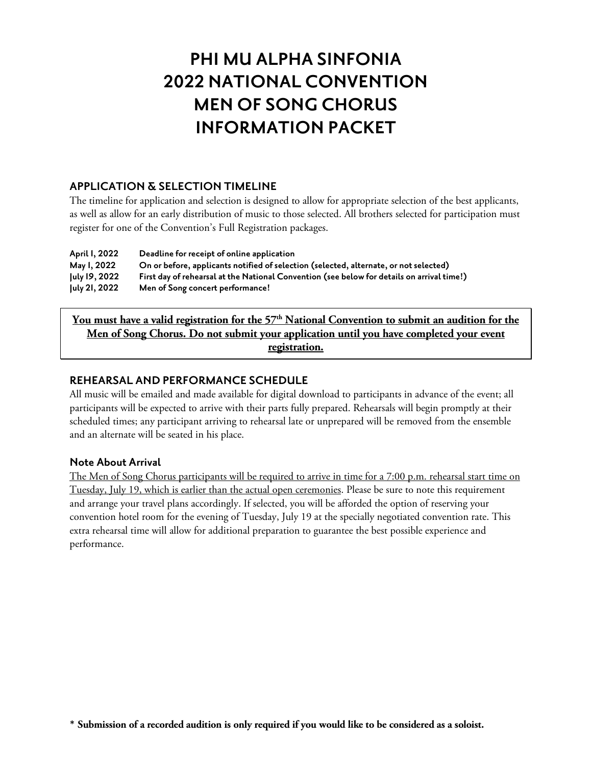# **PHI MU ALPHA SINFONIA 2022 NATIONAL CONVENTION MEN OF SONG CHORUS INFORMATION PACKET**

### **APPLICATION & SELECTION TIMELINE**

The timeline for application and selection is designed to allow for appropriate selection of the best applicants, as well as allow for an early distribution of music to those selected. All brothers selected for participation must register for one of the Convention's Full Registration packages.

| April 1, 2022 | Deadline for receipt of online application                                                 |
|---------------|--------------------------------------------------------------------------------------------|
| May 1, 2022   | On or before, applicants notified of selection (selected, alternate, or not selected)      |
| July 19, 2022 | First day of rehearsal at the National Convention (see below for details on arrival time!) |
| July 21, 2022 | Men of Song concert performance!                                                           |

You must have a valid registration for the 57<sup>th</sup> National Convention to submit an audition for the **Men of Song Chorus. Do not submit your application until you have completed your event registration.**

#### **REHEARSAL AND PERFORMANCE SCHEDULE**

All music will be emailed and made available for digital download to participants in advance of the event; all participants will be expected to arrive with their parts fully prepared. Rehearsals will begin promptly at their scheduled times; any participant arriving to rehearsal late or unprepared will be removed from the ensemble and an alternate will be seated in his place.

#### **Note About Arrival**

The Men of Song Chorus participants will be required to arrive in time for a 7:00 p.m. rehearsal start time on Tuesday, July 19, which is earlier than the actual open ceremonies. Please be sure to note this requirement and arrange your travel plans accordingly. If selected, you will be afforded the option of reserving your convention hotel room for the evening of Tuesday, July 19 at the specially negotiated convention rate. This extra rehearsal time will allow for additional preparation to guarantee the best possible experience and performance.

<sup>\*</sup> **Submission of a recorded audition is only required if you would like to be considered as a soloist.**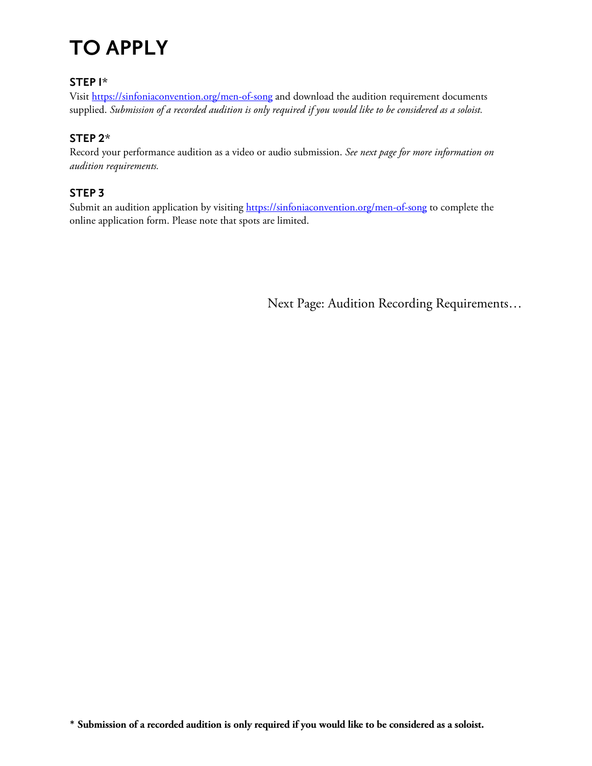# **TO APPLY**

# **STEP 1\***

Visit <https://sinfoniaconvention.org/men-of-song> and download the audition requirement documents supplied. *Submission of a recorded audition is only required if you would like to be considered as a soloist.*

# **STEP 2\***

Record your performance audition as a video or audio submission. *See next page for more information on audition requirements.*

# **STEP 3**

Submit an audition application by visiting<https://sinfoniaconvention.org/men-of-song> to complete the online application form. Please note that spots are limited.

Next Page: Audition Recording Requirements…